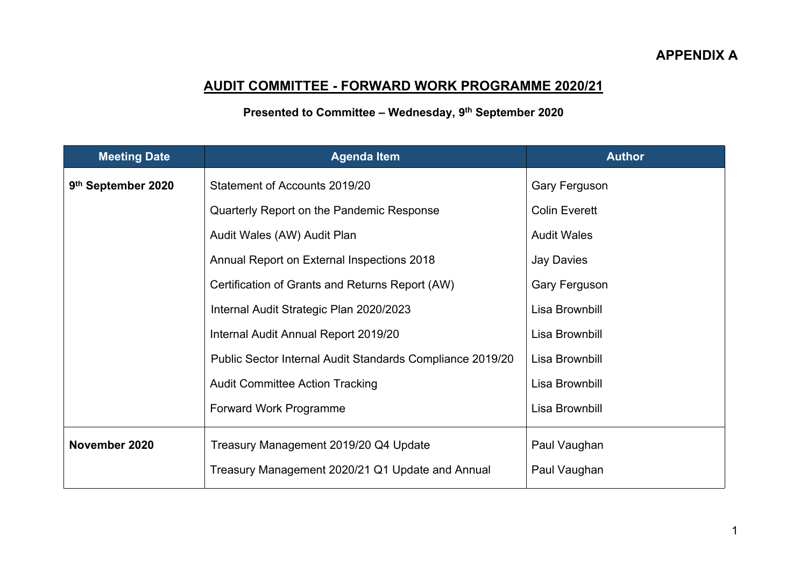## **APPENDIX A**

## **AUDIT COMMITTEE - FORWARD WORK PROGRAMME 2020/21**

## **Presented to Committee – Wednesday, 9 th September 2020**

| <b>Meeting Date</b> | <b>Agenda Item</b>                                        | <b>Author</b>        |
|---------------------|-----------------------------------------------------------|----------------------|
| 9th September 2020  | Statement of Accounts 2019/20                             | <b>Gary Ferguson</b> |
|                     | Quarterly Report on the Pandemic Response                 | <b>Colin Everett</b> |
|                     | Audit Wales (AW) Audit Plan                               | <b>Audit Wales</b>   |
|                     | Annual Report on External Inspections 2018                | <b>Jay Davies</b>    |
|                     | Certification of Grants and Returns Report (AW)           | <b>Gary Ferguson</b> |
|                     | Internal Audit Strategic Plan 2020/2023                   | Lisa Brownbill       |
|                     | Internal Audit Annual Report 2019/20                      | Lisa Brownbill       |
|                     | Public Sector Internal Audit Standards Compliance 2019/20 | Lisa Brownbill       |
|                     | <b>Audit Committee Action Tracking</b>                    | Lisa Brownbill       |
|                     | <b>Forward Work Programme</b>                             | Lisa Brownbill       |
| November 2020       | Treasury Management 2019/20 Q4 Update                     | Paul Vaughan         |
|                     | Treasury Management 2020/21 Q1 Update and Annual          | Paul Vaughan         |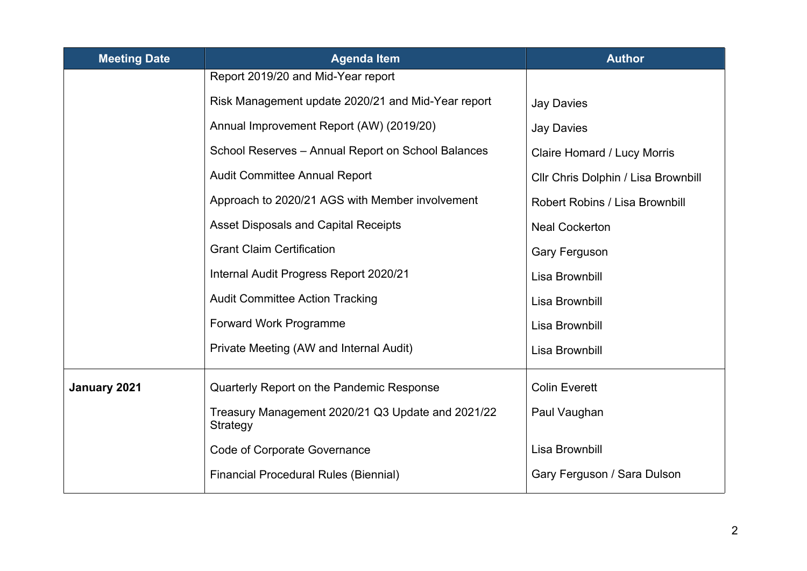| <b>Meeting Date</b> | <b>Agenda Item</b>                                            | <b>Author</b>                         |
|---------------------|---------------------------------------------------------------|---------------------------------------|
|                     | Report 2019/20 and Mid-Year report                            |                                       |
|                     | Risk Management update 2020/21 and Mid-Year report            | <b>Jay Davies</b>                     |
|                     | Annual Improvement Report (AW) (2019/20)                      | <b>Jay Davies</b>                     |
|                     | School Reserves - Annual Report on School Balances            | <b>Claire Homard / Lucy Morris</b>    |
|                     | <b>Audit Committee Annual Report</b>                          | Cllr Chris Dolphin / Lisa Brownbill   |
|                     | Approach to 2020/21 AGS with Member involvement               | <b>Robert Robins / Lisa Brownbill</b> |
|                     | <b>Asset Disposals and Capital Receipts</b>                   | <b>Neal Cockerton</b>                 |
|                     | <b>Grant Claim Certification</b>                              | <b>Gary Ferguson</b>                  |
|                     | Internal Audit Progress Report 2020/21                        | Lisa Brownbill                        |
|                     | <b>Audit Committee Action Tracking</b>                        | Lisa Brownbill                        |
|                     | <b>Forward Work Programme</b>                                 | Lisa Brownbill                        |
|                     | Private Meeting (AW and Internal Audit)                       | Lisa Brownbill                        |
| January 2021        | Quarterly Report on the Pandemic Response                     | <b>Colin Everett</b>                  |
|                     | Treasury Management 2020/21 Q3 Update and 2021/22<br>Strategy | Paul Vaughan                          |
|                     | <b>Code of Corporate Governance</b>                           | Lisa Brownbill                        |
|                     | <b>Financial Procedural Rules (Biennial)</b>                  | Gary Ferguson / Sara Dulson           |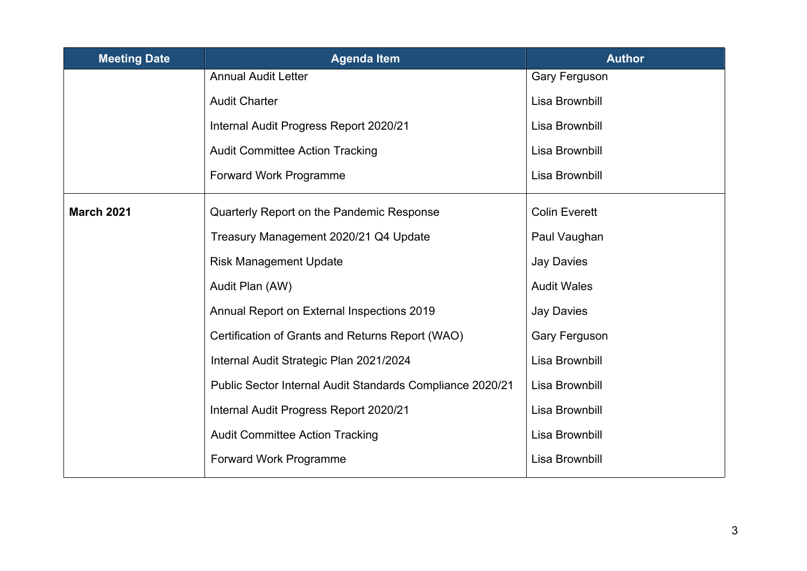| <b>Meeting Date</b> | <b>Agenda Item</b>                                        | <b>Author</b>        |
|---------------------|-----------------------------------------------------------|----------------------|
|                     | <b>Annual Audit Letter</b>                                | <b>Gary Ferguson</b> |
|                     | <b>Audit Charter</b>                                      | Lisa Brownbill       |
|                     | Internal Audit Progress Report 2020/21                    | Lisa Brownbill       |
|                     | <b>Audit Committee Action Tracking</b>                    | Lisa Brownbill       |
|                     | <b>Forward Work Programme</b>                             | Lisa Brownbill       |
| <b>March 2021</b>   | Quarterly Report on the Pandemic Response                 | <b>Colin Everett</b> |
|                     | Treasury Management 2020/21 Q4 Update                     | Paul Vaughan         |
|                     | <b>Risk Management Update</b>                             | <b>Jay Davies</b>    |
|                     | Audit Plan (AW)                                           | <b>Audit Wales</b>   |
|                     | Annual Report on External Inspections 2019                | <b>Jay Davies</b>    |
|                     | Certification of Grants and Returns Report (WAO)          | <b>Gary Ferguson</b> |
|                     | Internal Audit Strategic Plan 2021/2024                   | Lisa Brownbill       |
|                     | Public Sector Internal Audit Standards Compliance 2020/21 | Lisa Brownbill       |
|                     | Internal Audit Progress Report 2020/21                    | Lisa Brownbill       |
|                     | <b>Audit Committee Action Tracking</b>                    | Lisa Brownbill       |
|                     | <b>Forward Work Programme</b>                             | Lisa Brownbill       |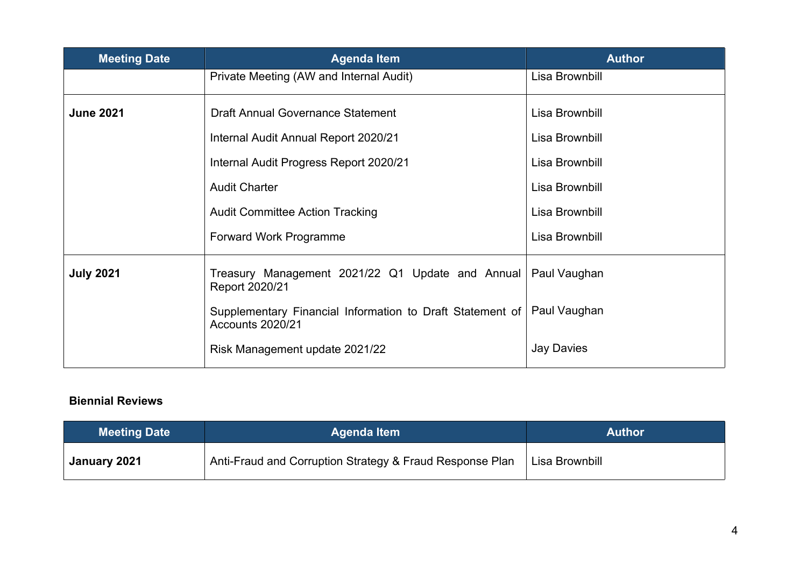| <b>Meeting Date</b> | <b>Agenda Item</b>                                                            | <b>Author</b>     |
|---------------------|-------------------------------------------------------------------------------|-------------------|
|                     | Private Meeting (AW and Internal Audit)                                       | Lisa Brownbill    |
| <b>June 2021</b>    | <b>Draft Annual Governance Statement</b>                                      | Lisa Brownbill    |
|                     | Internal Audit Annual Report 2020/21                                          | Lisa Brownbill    |
|                     | Internal Audit Progress Report 2020/21                                        | Lisa Brownbill    |
|                     | <b>Audit Charter</b>                                                          | Lisa Brownbill    |
|                     | <b>Audit Committee Action Tracking</b>                                        | Lisa Brownbill    |
|                     | <b>Forward Work Programme</b>                                                 | Lisa Brownbill    |
| <b>July 2021</b>    | Treasury Management 2021/22 Q1 Update and Annual<br>Report 2020/21            | Paul Vaughan      |
|                     | Supplementary Financial Information to Draft Statement of<br>Accounts 2020/21 | Paul Vaughan      |
|                     | Risk Management update 2021/22                                                | <b>Jay Davies</b> |

## **Biennial Reviews**

| <b>Meeting Date</b> | <b>Agenda Item</b>                                       | <b>Author</b>  |
|---------------------|----------------------------------------------------------|----------------|
| January 2021        | Anti-Fraud and Corruption Strategy & Fraud Response Plan | Lisa Brownbill |